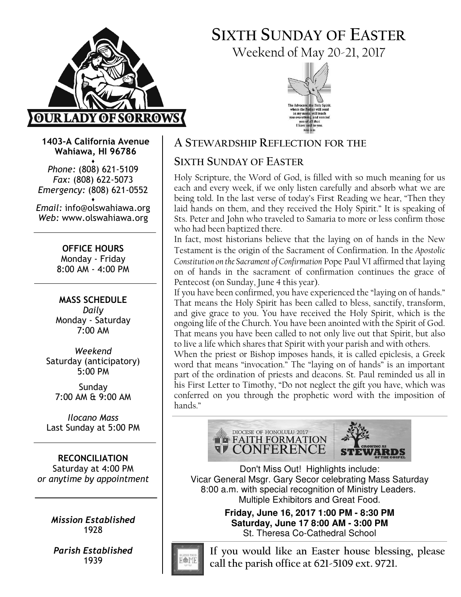

# SIXTH SUNDAY OF EASTER Weekend of May 20-21, 2017



1403-A California Avenue Wahiawa, HI 96786

♦ Phone: (808) 621-5109 Fax: (808) 622-5073 Emergency: (808) 621-0552 ♦

Email: info@olswahiawa.org Web: www.olswahiawa.org

> OFFICE HOURS Monday - Friday 8:00 AM - 4:00 PM

MASS SCHEDULE Daily Monday - Saturday 7:00 AM

Weekend Saturday (anticipatory) 5:00 PM

Sunday 7:00 AM & 9:00 AM

Ilocano Mass Last Sunday at 5:00 PM

RECONCILIATION Saturday at 4:00 PM or anytime by appointment

> Mission Established 1928

Parish Established 1939

## A STEWARDSHIP REFLECTION FOR THE

## SIXTH SUNDAY OF EASTER

Holy Scripture, the Word of God, is filled with so much meaning for us each and every week, if we only listen carefully and absorb what we are being told. In the last verse of today's First Reading we hear, "Then they laid hands on them, and they received the Holy Spirit." It is speaking of Sts. Peter and John who traveled to Samaria to more or less confirm those who had been baptized there.

In fact, most historians believe that the laying on of hands in the New Testament is the origin of the Sacrament of Confirmation. In the Apostolic Constitution on the Sacrament of Confirmation Pope Paul VI affirmed that laying on of hands in the sacrament of confirmation continues the grace of Pentecost (on Sunday, June 4 this year).

If you have been confirmed, you have experienced the "laying on of hands." That means the Holy Spirit has been called to bless, sanctify, transform, and give grace to you. You have received the Holy Spirit, which is the ongoing life of the Church. You have been anointed with the Spirit of God. That means you have been called to not only live out that Spirit, but also to live a life which shares that Spirit with your parish and with others.

When the priest or Bishop imposes hands, it is called epiclesis, a Greek word that means "invocation." The "laying on of hands" is an important part of the ordination of priests and deacons. St. Paul reminded us all in his First Letter to Timothy, "Do not neglect the gift you have, which was conferred on you through the prophetic word with the imposition of hands."





Don't Miss Out! Highlights include: Vicar General Msgr. Gary Secor celebrating Mass Saturday 8:00 a.m. with special recognition of Ministry Leaders. Multiple Exhibitors and Great Food.

> **Friday, June 16, 2017 1:00 PM - 8:30 PM Saturday, June 17 8:00 AM - 3:00 PM**  St. Theresa Co-Cathedral School



If you would like an Easter house blessing, please call the parish office at 621-5109 ext. 9721.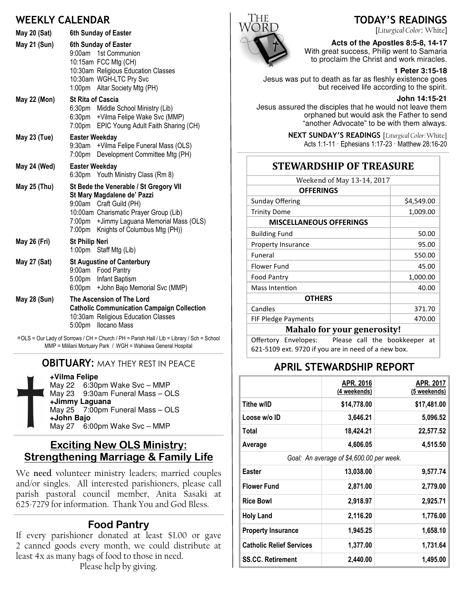## WEEKLY CALENDAR

| May 20 (Sat) | 6th Sunday of Easter                                                                                                                                                                                                             |  |  |
|--------------|----------------------------------------------------------------------------------------------------------------------------------------------------------------------------------------------------------------------------------|--|--|
| May 21 (Sun) | 6th Sunday of Easter<br>9:00am 1st Communion<br>10:15am FCC Mtg (CH)<br>10:30am Religious Education Classes<br>10:30am WGH-LTC Pry Svc<br>1:00pm Altar Society Mtg (PH)                                                          |  |  |
| May 22 (Mon) | <b>St Rita of Cascia</b><br>6:30pm Middle School Ministry (Lib)<br>6:30pm +Vilma Felipe Wake Svc (MMP)<br>7:00pm EPIC Young Adult Faith Sharing (CH)                                                                             |  |  |
| May 23 (Tue) | <b>Easter Weekday</b><br>9:30am + Vilma Felipe Funeral Mass (OLS)<br>7:00pm Development Committee Mtg (PH)                                                                                                                       |  |  |
| May 24 (Wed) | <b>Easter Weekday</b><br>6:30pm Youth Ministry Class (Rm 8)                                                                                                                                                                      |  |  |
| May 25 (Thu) | St Bede the Venerable / St Gregory VII<br>St Mary Magdalene de' Pazzi<br>9:00am Craft Guild (PH)<br>10:00am Charismatic Prayer Group (Lib)<br>7:00pm + Jimmy Laguana Memorial Mass (OLS)<br>7:00pm Knights of Columbus Mtg (PH)) |  |  |
| May 26 (Fri) | <b>St Philip Neri</b><br>1:00pm Staff Mtg (Lib)                                                                                                                                                                                  |  |  |
| May 27 (Sat) | <b>St Augustine of Canterbury</b><br>9:00am Food Pantry<br>5:00pm Infant Baptism<br>6:00pm + John Bajo Memorial Svc (MMP)                                                                                                        |  |  |
| May 28 (Sun) | The Ascension of The Lord<br><b>Catholic Communication Campaign Collection</b><br>10:30am Religious Education Classes<br><b>Ilocano Mass</b><br>5:00pm                                                                           |  |  |

∗OLS = Our Lady of Sorrows / CH = Church / PH = Parish Hall / Lib = Library / Sch = School MMP = Mililani Mortuary Park / WGH = Wahiawa General Hospital

### **OBITUARY: MAY THEY REST IN PEACE**

**+Vilma Felipe** May 22 6:30pm Wake Svc – MMP May 23 9:30am Funeral Mass – OLS **+Jimmy Laguana** May 25 7:00pm Funeral Mass – OLS **+John Bajo** May 27 6:00pm Wake Svc – MMP

### Exciting New OLS Ministry: Strengthening Marriage & Family Life

We need volunteer ministry leaders; married couples and/or singles. All interested parishioners, please call parish pastoral council member, Anita Sasaki at 625-7279 for information. Thank You and God Bless.

## Food Pantry

If every parishioner donated at least \$1.00 or gave 2 canned goods every month, we could distribute at least 4x as many bags of food to those in need.

Please help by giving.



## TODAY'S READINGS

[Liturgical Color: White]

**Acts of the Apostles 8:5-8, 14-17**  With great success, Philip went to Samaria to proclaim the Christ and work miracles.

#### **1 Peter 3:15-18**

Jesus was put to death as far as fleshly existence goes but received life according to the spirit.

#### **John 14:15-21**

Jesus assured the disciples that he would not leave them orphaned but would ask the Father to send "another Advocate" to be with them always.

> NEXT SUNDAY'S READINGS [Liturgical Color: White] Acts 1:1-11 · Ephesians 1:17-23 · Matthew 28:16-20

### **STEWARDSHIP OF TREASURE**

| Weekend of May 13-14, 2017         |            |  |
|------------------------------------|------------|--|
| <b>OFFERINGS</b>                   |            |  |
| Sunday Offering                    | \$4,549.00 |  |
| <b>Trinity Dome</b>                | 1,009.00   |  |
| <b>MISCELLANEOUS OFFERINGS</b>     |            |  |
| <b>Building Fund</b>               | 50.00      |  |
| <b>Property Insurance</b>          | 95.00      |  |
| Funeral                            | 550.00     |  |
| Flower Fund                        | 45.00      |  |
| <b>Food Pantry</b>                 | 1,000.00   |  |
| Mass Intention                     | 40.00      |  |
| <b>OTHERS</b>                      |            |  |
| Candles                            | 371.70     |  |
| <b>FIF Pledge Payments</b>         | 470.00     |  |
| <b>Mahalo for your generosity!</b> |            |  |

Offertory Envelopes: Please call the bookkeeper at 621-5109 ext. 9720 if you are in need of a new box.

### APRIL STEWARDSHIP REPORT

|                                          | APR. 2016<br>(4 weekends) | APR. 2017<br>(5 weekends) |  |  |
|------------------------------------------|---------------------------|---------------------------|--|--|
| Tithe w/ID                               | \$14,778.00               | \$17,481.00               |  |  |
| Loose w/o ID                             | 3,646.21                  | 5,096.52                  |  |  |
| Total                                    | 18,424.21                 | 22,577.52                 |  |  |
| Average                                  | 4,606.05                  | 4,515.50                  |  |  |
| Goal: An average of \$4,600.00 per week. |                           |                           |  |  |
| Easter                                   | 13,038.00                 | 9,577.74                  |  |  |
| <b>Flower Fund</b>                       | 2,871.00                  | 2,779.00                  |  |  |
| <b>Rice Bowl</b>                         | 2,918.97                  | 2,925.71                  |  |  |
| <b>Holy Land</b>                         | 2,116.20                  | 1,776.00                  |  |  |
| <b>Property Insurance</b>                | 1,945.25                  | 1,658.10                  |  |  |
| <b>Catholic Relief Services</b>          | 1,377.00                  | 1,731.64                  |  |  |
| <b>SS.CC. Retirement</b>                 | 2,440.00                  | 1,495.00                  |  |  |